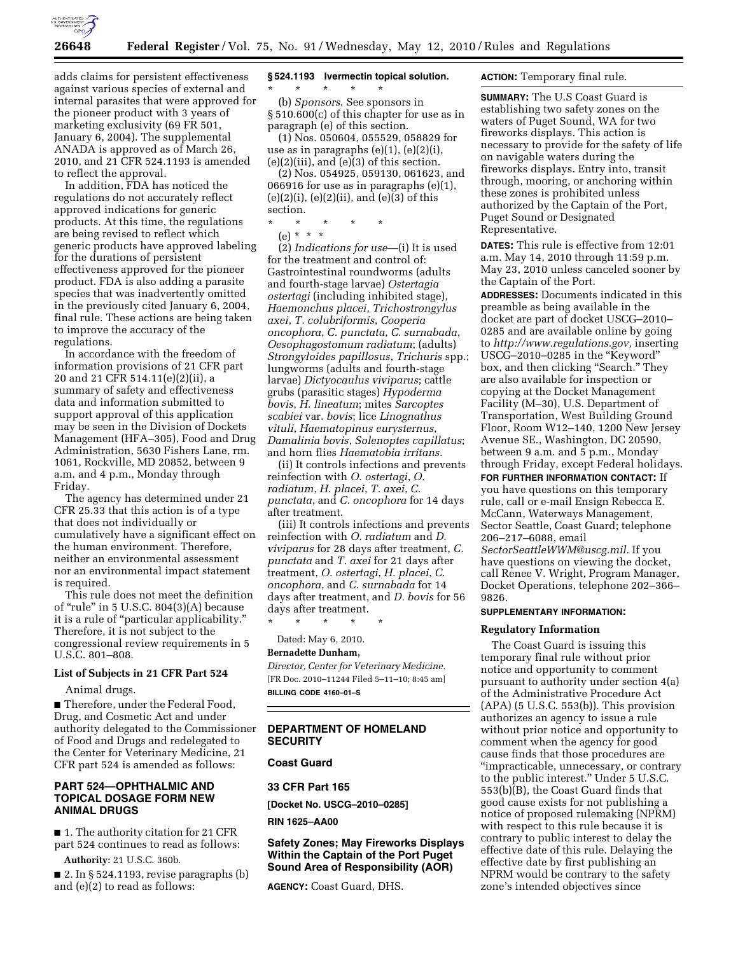

adds claims for persistent effectiveness against various species of external and internal parasites that were approved for the pioneer product with 3 years of marketing exclusivity (69 FR 501, January 6, 2004). The supplemental ANADA is approved as of March 26, 2010, and 21 CFR 524.1193 is amended to reflect the approval.

In addition, FDA has noticed the regulations do not accurately reflect approved indications for generic products. At this time, the regulations are being revised to reflect which generic products have approved labeling for the durations of persistent effectiveness approved for the pioneer product. FDA is also adding a parasite species that was inadvertently omitted in the previously cited January 6, 2004, final rule. These actions are being taken to improve the accuracy of the regulations.

In accordance with the freedom of information provisions of 21 CFR part 20 and 21 CFR 514.11(e)(2)(ii), a summary of safety and effectiveness data and information submitted to support approval of this application may be seen in the Division of Dockets Management (HFA–305), Food and Drug Administration, 5630 Fishers Lane, rm. 1061, Rockville, MD 20852, between 9 a.m. and 4 p.m., Monday through Friday.

The agency has determined under 21 CFR 25.33 that this action is of a type that does not individually or cumulatively have a significant effect on the human environment. Therefore, neither an environmental assessment nor an environmental impact statement is required.

This rule does not meet the definition of "rule" in  $5$  U.S.C.  $804(3)(A)$  because it is a rule of ''particular applicability.'' Therefore, it is not subject to the congressional review requirements in 5 U.S.C. 801–808.

#### **List of Subjects in 21 CFR Part 524**

Animal drugs.

■ Therefore, under the Federal Food, Drug, and Cosmetic Act and under authority delegated to the Commissioner of Food and Drugs and redelegated to the Center for Veterinary Medicine, 21 CFR part 524 is amended as follows:

### **PART 524—OPHTHALMIC AND TOPICAL DOSAGE FORM NEW ANIMAL DRUGS**

■ 1. The authority citation for 21 CFR part 524 continues to read as follows:

**Authority:** 21 U.S.C. 360b.

 $\blacksquare$  2. In § 524.1193, revise paragraphs (b) and (e)(2) to read as follows:

# **§ 524.1193 Ivermectin topical solution.**

\* \* \* \* \* (b) *Sponsors*. See sponsors in § 510.600(c) of this chapter for use as in paragraph (e) of this section.

(1) Nos. 050604, 055529, 058829 for use as in paragraphs  $(e)(1)$ ,  $(e)(2)(i)$ ,  $(e)(2)(iii)$ , and  $(e)(3)$  of this section.

(2) Nos. 054925, 059130, 061623, and 066916 for use as in paragraphs (e)(1),  $(e)(2)(i)$ ,  $(e)(2)(ii)$ , and  $(e)(3)$  of this section.

\* \* \* \* \*

(e) \* \* \*

(2) *Indications for use*—(i) It is used for the treatment and control of: Gastrointestinal roundworms (adults and fourth-stage larvae) *Ostertagia ostertagi* (including inhibited stage), *Haemonchus placei*, *Trichostrongylus axei*, *T. colubriformis*, *Cooperia oncophora*, *C. punctata*, *C. surnabada*, *Oesophagostomum radiatum*; (adults) *Strongyloides papillosus*, *Trichuris* spp.; lungworms (adults and fourth-stage larvae) *Dictyocaulus viviparus*; cattle grubs (parasitic stages) *Hypoderma bovis*, *H. lineatum*; mites *Sarcoptes scabiei* var. *bovis*; lice *Linognathus vituli*, *Haematopinus eurysternus*, *Damalinia bovis*, *Solenoptes capillatus*; and horn flies *Haematobia irritans*.

(ii) It controls infections and prevents reinfection with *O. ostertagi*, *O. radiatum*, *H. placei*, *T. axei*, *C. punctata*, and *C. oncophora* for 14 days after treatment.

(iii) It controls infections and prevents reinfection with *O. radiatum* and *D. viviparus* for 28 days after treatment, *C. punctata* and *T. axei* for 21 days after treatment, *O. ostertagi*, *H. placei*, *C. oncophora*, and *C. surnabada* for 14 days after treatment, and *D. bovis* for 56 days after treatment.

\* \* \* \* \*

Dated: May 6, 2010.

## **Bernadette Dunham,**

*Director, Center for Veterinary Medicine.*  [FR Doc. 2010–11244 Filed 5–11–10; 8:45 am] **BILLING CODE 4160–01–S** 

# **DEPARTMENT OF HOMELAND SECURITY**

**Coast Guard** 

**33 CFR Part 165** 

**[Docket No. USCG–2010–0285]** 

**RIN 1625–AA00** 

## **Safety Zones; May Fireworks Displays Within the Captain of the Port Puget Sound Area of Responsibility (AOR)**

**AGENCY:** Coast Guard, DHS.

# **ACTION:** Temporary final rule.

**SUMMARY:** The U.S Coast Guard is establishing two safety zones on the waters of Puget Sound, WA for two fireworks displays. This action is necessary to provide for the safety of life on navigable waters during the fireworks displays. Entry into, transit through, mooring, or anchoring within these zones is prohibited unless authorized by the Captain of the Port, Puget Sound or Designated Representative.

**DATES:** This rule is effective from 12:01 a.m. May 14, 2010 through 11:59 p.m. May 23, 2010 unless canceled sooner by the Captain of the Port.

**ADDRESSES:** Documents indicated in this preamble as being available in the docket are part of docket USCG–2010– 0285 and are available online by going to *http://www.regulations.gov,* inserting USCG–2010–0285 in the ''Keyword'' box, and then clicking "Search." They are also available for inspection or copying at the Docket Management Facility (M–30), U.S. Department of Transportation, West Building Ground Floor, Room W12–140, 1200 New Jersey Avenue SE., Washington, DC 20590, between 9 a.m. and 5 p.m., Monday through Friday, except Federal holidays.

**FOR FURTHER INFORMATION CONTACT:** If

you have questions on this temporary rule, call or e-mail Ensign Rebecca E. McCann, Waterways Management, Sector Seattle, Coast Guard; telephone 206–217–6088, email *SectorSeattleWWM@uscg.mil.* If you have questions on viewing the docket,

call Renee V. Wright, Program Manager, Docket Operations, telephone 202–366– 9826.

#### **SUPPLEMENTARY INFORMATION:**

#### **Regulatory Information**

The Coast Guard is issuing this temporary final rule without prior notice and opportunity to comment pursuant to authority under section 4(a) of the Administrative Procedure Act  $(APA)$  (5 U.S.C. 553(b)). This provision authorizes an agency to issue a rule without prior notice and opportunity to comment when the agency for good cause finds that those procedures are ''impracticable, unnecessary, or contrary to the public interest.'' Under 5 U.S.C. 553(b)(B), the Coast Guard finds that good cause exists for not publishing a notice of proposed rulemaking (NPRM) with respect to this rule because it is contrary to public interest to delay the effective date of this rule. Delaying the effective date by first publishing an NPRM would be contrary to the safety zone's intended objectives since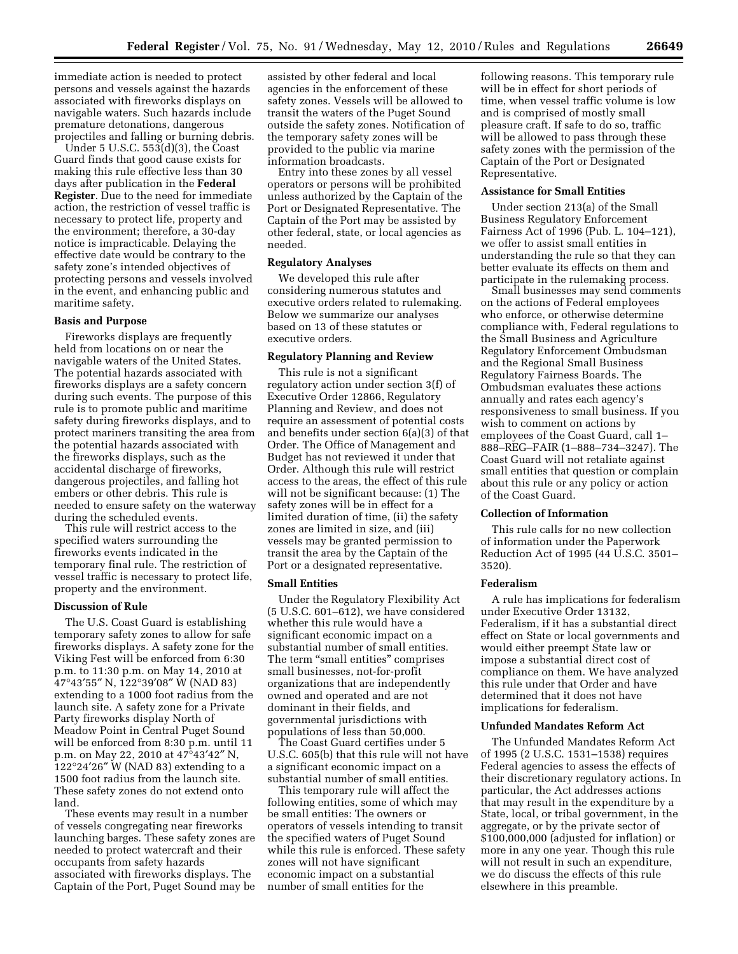immediate action is needed to protect persons and vessels against the hazards associated with fireworks displays on navigable waters. Such hazards include premature detonations, dangerous projectiles and falling or burning debris.

Under 5 U.S.C. 553(d)(3), the Coast Guard finds that good cause exists for making this rule effective less than 30 days after publication in the **Federal Register**. Due to the need for immediate action, the restriction of vessel traffic is necessary to protect life, property and the environment; therefore, a 30-day notice is impracticable. Delaying the effective date would be contrary to the safety zone's intended objectives of protecting persons and vessels involved in the event, and enhancing public and maritime safety.

#### **Basis and Purpose**

Fireworks displays are frequently held from locations on or near the navigable waters of the United States. The potential hazards associated with fireworks displays are a safety concern during such events. The purpose of this rule is to promote public and maritime safety during fireworks displays, and to protect mariners transiting the area from the potential hazards associated with the fireworks displays, such as the accidental discharge of fireworks, dangerous projectiles, and falling hot embers or other debris. This rule is needed to ensure safety on the waterway during the scheduled events.

This rule will restrict access to the specified waters surrounding the fireworks events indicated in the temporary final rule. The restriction of vessel traffic is necessary to protect life, property and the environment.

#### **Discussion of Rule**

The U.S. Coast Guard is establishing temporary safety zones to allow for safe fireworks displays. A safety zone for the Viking Fest will be enforced from 6:30 p.m. to 11:30 p.m. on May 14, 2010 at 47°43′55″ N, 122°39′08″ W (NAD 83) extending to a 1000 foot radius from the launch site. A safety zone for a Private Party fireworks display North of Meadow Point in Central Puget Sound will be enforced from 8:30 p.m. until 11 p.m. on May 22, 2010 at 47°43′42″ N,  $122^{\circ}24'26''$  W (NAD 83) extending to a 1500 foot radius from the launch site. These safety zones do not extend onto land.

These events may result in a number of vessels congregating near fireworks launching barges. These safety zones are needed to protect watercraft and their occupants from safety hazards associated with fireworks displays. The Captain of the Port, Puget Sound may be

assisted by other federal and local agencies in the enforcement of these safety zones. Vessels will be allowed to transit the waters of the Puget Sound outside the safety zones. Notification of the temporary safety zones will be provided to the public via marine information broadcasts.

Entry into these zones by all vessel operators or persons will be prohibited unless authorized by the Captain of the Port or Designated Representative. The Captain of the Port may be assisted by other federal, state, or local agencies as needed.

# **Regulatory Analyses**

We developed this rule after considering numerous statutes and executive orders related to rulemaking. Below we summarize our analyses based on 13 of these statutes or executive orders.

# **Regulatory Planning and Review**

This rule is not a significant regulatory action under section 3(f) of Executive Order 12866, Regulatory Planning and Review, and does not require an assessment of potential costs and benefits under section 6(a)(3) of that Order. The Office of Management and Budget has not reviewed it under that Order. Although this rule will restrict access to the areas, the effect of this rule will not be significant because: (1) The safety zones will be in effect for a limited duration of time, (ii) the safety zones are limited in size, and (iii) vessels may be granted permission to transit the area by the Captain of the Port or a designated representative.

#### **Small Entities**

Under the Regulatory Flexibility Act (5 U.S.C. 601–612), we have considered whether this rule would have a significant economic impact on a substantial number of small entities. The term "small entities" comprises small businesses, not-for-profit organizations that are independently owned and operated and are not dominant in their fields, and governmental jurisdictions with populations of less than 50,000.

The Coast Guard certifies under 5 U.S.C. 605(b) that this rule will not have a significant economic impact on a substantial number of small entities.

This temporary rule will affect the following entities, some of which may be small entities: The owners or operators of vessels intending to transit the specified waters of Puget Sound while this rule is enforced. These safety zones will not have significant economic impact on a substantial number of small entities for the

following reasons. This temporary rule will be in effect for short periods of time, when vessel traffic volume is low and is comprised of mostly small pleasure craft. If safe to do so, traffic will be allowed to pass through these safety zones with the permission of the Captain of the Port or Designated Representative.

#### **Assistance for Small Entities**

Under section 213(a) of the Small Business Regulatory Enforcement Fairness Act of 1996 (Pub. L. 104–121), we offer to assist small entities in understanding the rule so that they can better evaluate its effects on them and participate in the rulemaking process.

Small businesses may send comments on the actions of Federal employees who enforce, or otherwise determine compliance with, Federal regulations to the Small Business and Agriculture Regulatory Enforcement Ombudsman and the Regional Small Business Regulatory Fairness Boards. The Ombudsman evaluates these actions annually and rates each agency's responsiveness to small business. If you wish to comment on actions by employees of the Coast Guard, call 1– 888–REG–FAIR (1–888–734–3247). The Coast Guard will not retaliate against small entities that question or complain about this rule or any policy or action of the Coast Guard.

#### **Collection of Information**

This rule calls for no new collection of information under the Paperwork Reduction Act of 1995 (44 U.S.C. 3501– 3520).

### **Federalism**

A rule has implications for federalism under Executive Order 13132, Federalism, if it has a substantial direct effect on State or local governments and would either preempt State law or impose a substantial direct cost of compliance on them. We have analyzed this rule under that Order and have determined that it does not have implications for federalism.

### **Unfunded Mandates Reform Act**

The Unfunded Mandates Reform Act of 1995 (2 U.S.C. 1531–1538) requires Federal agencies to assess the effects of their discretionary regulatory actions. In particular, the Act addresses actions that may result in the expenditure by a State, local, or tribal government, in the aggregate, or by the private sector of \$100,000,000 (adjusted for inflation) or more in any one year. Though this rule will not result in such an expenditure, we do discuss the effects of this rule elsewhere in this preamble.